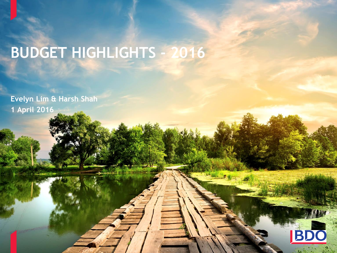# **BUDGET HIGHLIGHTS - 2016**

**Evelyn Lim & Harsh Shah 1 April 2016**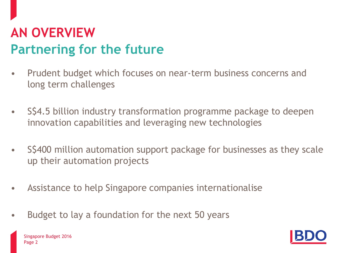## **AN OVERVIEW Partnering for the future**

- Prudent budget which focuses on near-term business concerns and long term challenges
- S\$4.5 billion industry transformation programme package to deepen innovation capabilities and leveraging new technologies
- S\$400 million automation support package for businesses as they scale up their automation projects
- Assistance to help Singapore companies internationalise
- Budget to lay a foundation for the next 50 years

<span id="page-1-0"></span>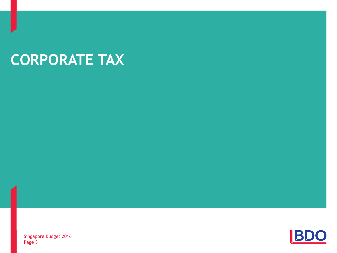# **CORPORATE TAX**

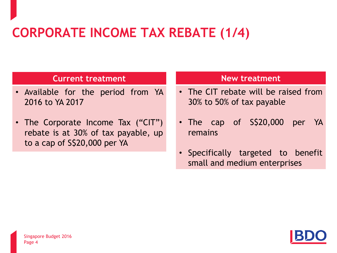### **CORPORATE INCOME TAX REBATE (1/4)**

#### **Current treatment**

- Available for the period from YA 2016 to YA 2017
- The Corporate Income Tax ("CIT") rebate is at 30% of tax payable, up to a cap of S\$20,000 per YA

- The CIT rebate will be raised from 30% to 50% of tax payable
- The cap of S\$20,000 per YA remains
- Specifically targeted to benefit small and medium enterprises

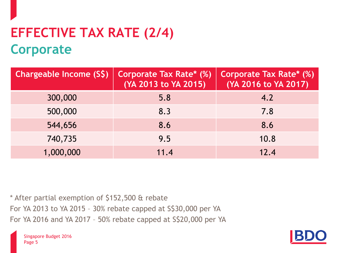## **EFFECTIVE TAX RATE (2/4) Corporate**

| Chargeable Income (S\$) | Corporate Tax Rate* (%)<br>(YA 2013 to YA 2015) | <b>Corporate Tax Rate* (%)</b><br>(YA 2016 to YA 2017) |
|-------------------------|-------------------------------------------------|--------------------------------------------------------|
| 300,000                 | 5.8                                             | 4.2                                                    |
| 500,000                 | 8.3                                             | 7.8                                                    |
| 544,656                 | 8.6                                             | 8.6                                                    |
| 740,735                 | 9.5                                             | 10.8                                                   |
| 1,000,000               | 11.4                                            | 12.4                                                   |

\* After partial exemption of \$152,500 & rebate For YA 2013 to YA 2015 – 30% rebate capped at S\$30,000 per YA For YA 2016 and YA 2017 – 50% rebate capped at S\$20,000 per YA

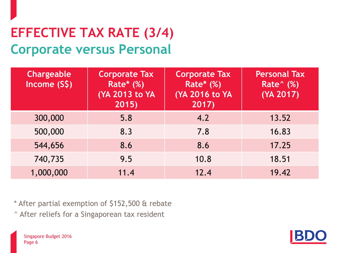### **EFFECTIVE TAX RATE (3/4) Corporate versus Personal**

| Chargeable<br>Income (S\$) | <b>Corporate Tax</b><br><b>Rate*</b> (%)<br>(YA 2013 to YA<br>2015) | <b>Corporate Tax</b><br><b>Rate*</b> (%)<br>(YA 2016 to YA<br>2017) | <b>Personal Tax</b><br><b>Rate</b> (%)<br>(YA 2017) |
|----------------------------|---------------------------------------------------------------------|---------------------------------------------------------------------|-----------------------------------------------------|
| 300,000                    | 5.8                                                                 | 4.2                                                                 | 13.52                                               |
| 500,000                    | 8.3                                                                 | 7.8                                                                 | 16.83                                               |
| 544,656                    | 8.6                                                                 | 8.6                                                                 | 17.25                                               |
| 740,735                    | 9.5                                                                 | 10.8                                                                | 18.51                                               |
| 1,000,000                  | 11.4                                                                | 12.4                                                                | 19.42                                               |

\* After partial exemption of \$152,500 & rebate ^ After reliefs for a Singaporean tax resident



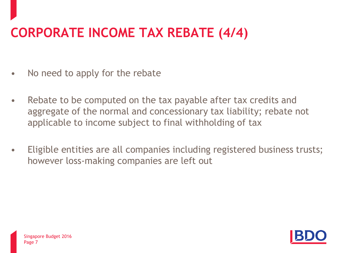# **CORPORATE INCOME TAX REBATE (4/4)**

- No need to apply for the rebate
- Rebate to be computed on the tax payable after tax credits and aggregate of the normal and concessionary tax liability; rebate not applicable to income subject to final withholding of tax
- Eligible entities are all companies including registered business trusts; however loss-making companies are left out

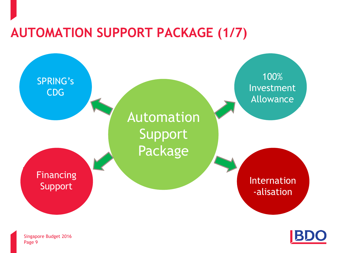### **AUTOMATION SUPPORT PACKAGE (1/7)**



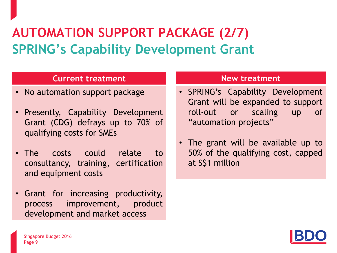## **AUTOMATION SUPPORT PACKAGE (2/7) SPRING's Capability Development Grant**

#### **Current treatment**

- No automation support package
- Presently, Capability Development Grant (CDG) defrays up to 70% of qualifying costs for SMEs
- The costs could relate to consultancy, training, certification and equipment costs
- Grant for increasing productivity, process improvement, product development and market access

- SPRING's Capability Development Grant will be expanded to support roll-out or scaling up of "automation projects"
- The grant will be available up to 50% of the qualifying cost, capped at S\$1 million

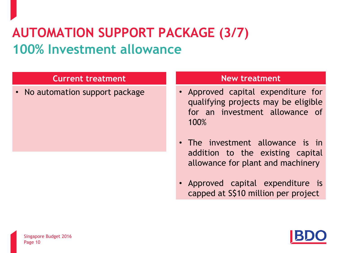### **AUTOMATION SUPPORT PACKAGE (3/7) 100% Investment allowance**

#### **Current treatment**

• No automation support package

- Approved capital expenditure for qualifying projects may be eligible for an investment allowance of 100%
- The investment allowance is in addition to the existing capital allowance for plant and machinery
- Approved capital expenditure is capped at S\$10 million per project

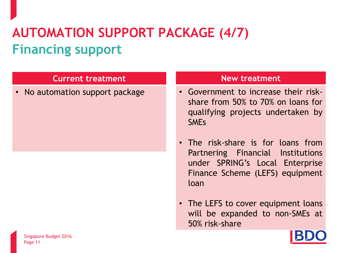# **AUTOMATION SUPPORT PACKAGE (4/7) Financing support**

#### **Current treatment**

• No automation support package

- Government to increase their riskshare from 50% to 70% on loans for qualifying projects undertaken by SMEs
- The risk-share is for loans from Partnering Financial Institutions under SPRING's Local Enterprise Finance Scheme (LEFS) equipment loan
- The LEFS to cover equipment loans will be expanded to non-SMEs at 50% risk-share

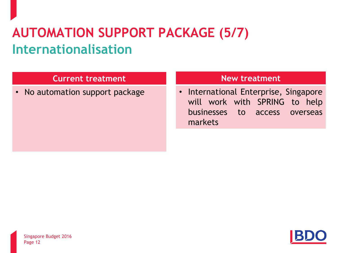## **AUTOMATION SUPPORT PACKAGE (5/7) Internationalisation**

#### **Current treatment**

• No automation support package

#### **New treatment**

• International Enterprise, Singapore will work with SPRING to help businesses to access overseas markets

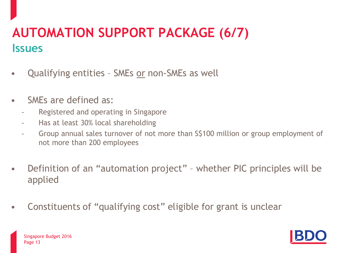### **AUTOMATION SUPPORT PACKAGE (6/7) Issues**

- Qualifying entities SMEs or non-SMEs as well
- SMEs are defined as:
	- Registered and operating in Singapore
	- Has at least 30% local shareholding
	- Group annual sales turnover of not more than S\$100 million or group employment of not more than 200 employees
- Definition of an "automation project" whether PIC principles will be applied
- Constituents of "qualifying cost" eligible for grant is unclear

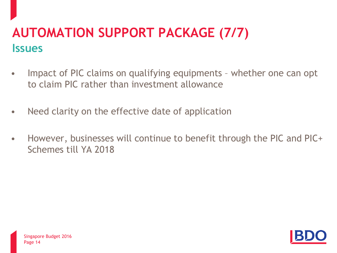### **AUTOMATION SUPPORT PACKAGE (7/7) Issues**

- Impact of PIC claims on qualifying equipments whether one can opt to claim PIC rather than investment allowance
- Need clarity on the effective date of application
- However, businesses will continue to benefit through the PIC and PIC+ Schemes till YA 2018

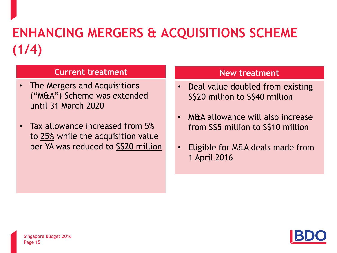# **ENHANCING MERGERS & ACQUISITIONS SCHEME (1/4)**

#### **Current treatment**

- The Mergers and Acquisitions ("M&A") Scheme was extended until 31 March 2020
- Tax allowance increased from 5% to 25% while the acquisition value per YA was reduced to S\$20 million

- Deal value doubled from existing S\$20 million to S\$40 million
- M&A allowance will also increase from S\$5 million to S\$10 million
- Eligible for M&A deals made from 1 April 2016

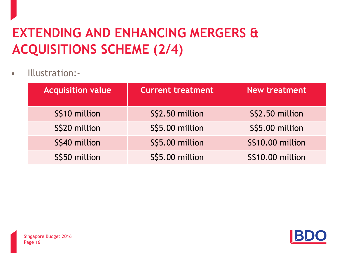# **EXTENDING AND ENHANCING MERGERS & ACQUISITIONS SCHEME (2/4)**

• Illustration:-

| <b>Acquisition value</b> | <b>Current treatment</b> | <b>New treatment</b>    |
|--------------------------|--------------------------|-------------------------|
| S\$10 million            | S\$2.50 million          | S\$2.50 million         |
| S\$20 million            | S\$5.00 million          | S\$5.00 million         |
| S\$40 million            | S\$5.00 million          | <b>S\$10.00 million</b> |
| S\$50 million            | S\$5.00 million          | <b>S\$10.00 million</b> |

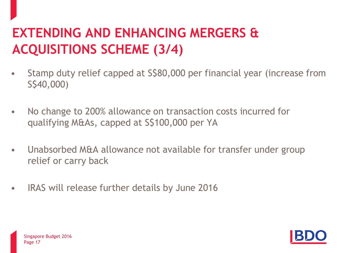## **EXTENDING AND ENHANCING MERGERS & ACQUISITIONS SCHEME (3/4)**

- Stamp duty relief capped at S\$80,000 per financial year (increase from S\$40,000)
- No change to 200% allowance on transaction costs incurred for qualifying M&As, capped at S\$100,000 per YA
- Unabsorbed M&A allowance not available for transfer under group relief or carry back
- IRAS will release further details by June 2016

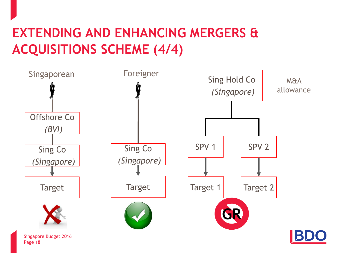### **EXTENDING AND ENHANCING MERGERS & ACQUISITIONS SCHEME (4/4)**

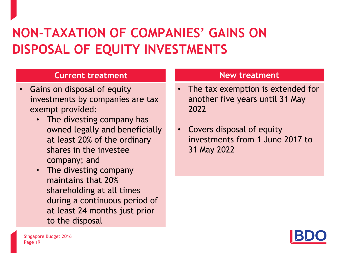### **NON-TAXATION OF COMPANIES' GAINS ON DISPOSAL OF EQUITY INVESTMENTS**

#### **Current treatment**

- Gains on disposal of equity investments by companies are tax exempt provided:
	- The divesting company has owned legally and beneficially at least 20% of the ordinary shares in the investee company; and
	- The divesting company maintains that 20% shareholding at all times during a continuous period of at least 24 months just prior to the disposal

- The tax exemption is extended for another five years until 31 May 2022
- Covers disposal of equity investments from 1 June 2017 to 31 May 2022

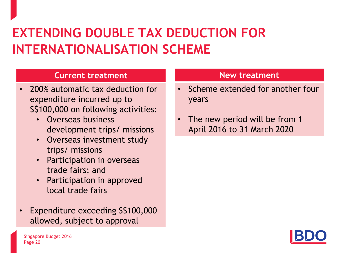### **EXTENDING DOUBLE TAX DEDUCTION FOR INTERNATIONALISATION SCHEME**

#### **Current treatment**

- 200% automatic tax deduction for expenditure incurred up to S\$100,000 on following activities:
	- Overseas business development trips/ missions
	- Overseas investment study trips/ missions
	- Participation in overseas trade fairs; and
	- Participation in approved local trade fairs
- Expenditure exceeding S\$100,000 allowed, subject to approval

- Scheme extended for another four years
- The new period will be from 1 April 2016 to 31 March 2020

<span id="page-19-0"></span>

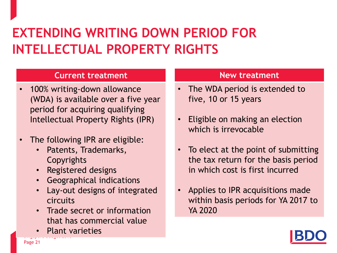### **EXTENDING WRITING DOWN PERIOD FOR INTELLECTUAL PROPERTY RIGHTS**

#### **Current treatment**

- 100% writing-down allowance (WDA) is available over a five year period for acquiring qualifying Intellectual Property Rights (IPR)
- The following IPR are eligible:
	- Patents, Trademarks, **Copyrights**
	- Registered designs
	- Geographical indications
	- Lay-out designs of integrated circuits
	- Trade secret or information that has commercial value
	- Singapore Budget 2016 • Plant varieties

- The WDA period is extended to five, 10 or 15 years
- Eligible on making an election which is irrevocable
- To elect at the point of submitting the tax return for the basis period in which cost is first incurred
- Applies to IPR acquisitions made within basis periods for YA 2017 to YA 2020

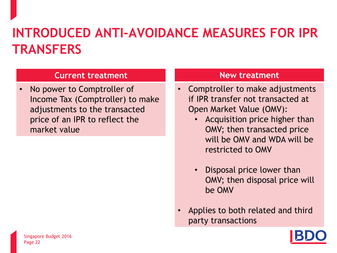### **INTRODUCED ANTI-AVOIDANCE MEASURES FOR IPR TRANSFERS**

#### **Current treatment**

• No power to Comptroller of Income Tax (Comptroller) to make adjustments to the transacted price of an IPR to reflect the market value

- Comptroller to make adjustments if IPR transfer not transacted at Open Market Value (OMV):
	- Acquisition price higher than OMV; then transacted price will be OMV and WDA will be restricted to OMV
	- Disposal price lower than OMV; then disposal price will be OMV
- Applies to both related and third party transactions

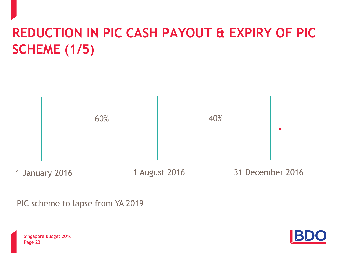# **REDUCTION IN PIC CASH PAYOUT & EXPIRY OF PIC SCHEME (1/5)**

1 January 2016 1 August 2016 31 December 2016 60% 40%

PIC scheme to lapse from YA 2019



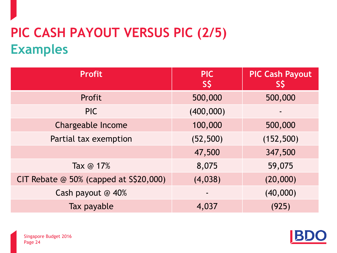# **PIC CASH PAYOUT VERSUS PIC (2/5) Examples**

| <b>Profit</b>                              | <b>PIC</b><br>S\$ | <b>PIC Cash Payout</b><br>SŞ |
|--------------------------------------------|-------------------|------------------------------|
| Profit                                     | 500,000           | 500,000                      |
| <b>PIC</b>                                 | (400,000)         |                              |
| Chargeable Income                          | 100,000           | 500,000                      |
| Partial tax exemption                      | (52, 500)         | (152, 500)                   |
|                                            | 47,500            | 347,500                      |
| Tax $@17%$                                 | 8,075             | 59,075                       |
| CIT Rebate $@$ 50% (capped at $S\$ 20,000) | (4,038)           | (20,000)                     |
| Cash payout @ 40%                          |                   | (40,000)                     |
| Tax payable                                | 4,037             | (925)                        |

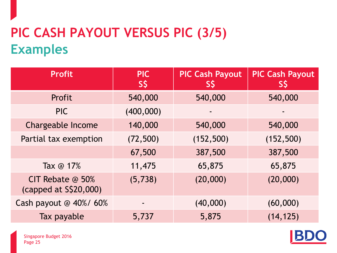# **PIC CASH PAYOUT VERSUS PIC (3/5) Examples**

| <b>Profit</b>                             | <b>PIC</b><br>S\$ | <b>PIC Cash Payout</b><br>SŞ | <b>PIC Cash Payout</b><br><b>SS</b> |
|-------------------------------------------|-------------------|------------------------------|-------------------------------------|
| Profit                                    | 540,000           | 540,000                      | 540,000                             |
| <b>PIC</b>                                | (400,000)         |                              |                                     |
| <b>Chargeable Income</b>                  | 140,000           | 540,000                      | 540,000                             |
| Partial tax exemption                     | (72, 500)         | (152, 500)                   | (152, 500)                          |
|                                           | 67,500            | 387,500                      | 387,500                             |
| Tax @ 17%                                 | 11,475            | 65,875                       | 65,875                              |
| CIT Rebate @ 50%<br>(capped at S\$20,000) | (5, 738)          | (20,000)                     | (20,000)                            |
| Cash payout @ 40%/ 60%                    |                   | (40,000)                     | (60,000)                            |
| Tax payable                               | 5,737             | 5,875                        | (14, 125)                           |



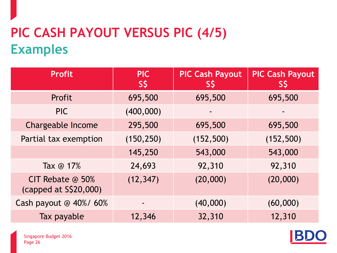# **PIC CASH PAYOUT VERSUS PIC (4/5) Examples**

| <b>Profit</b>                             | <b>PIC</b><br>S\$ | <b>PIC Cash Payout</b><br>SŞ | <b>PIC Cash Payout</b><br><b>SŞ</b> |
|-------------------------------------------|-------------------|------------------------------|-------------------------------------|
| Profit                                    | 695,500           | 695,500                      | 695,500                             |
| <b>PIC</b>                                | (400,000)         |                              |                                     |
| Chargeable Income                         | 295,500           | 695,500                      | 695,500                             |
| Partial tax exemption                     | (150, 250)        | (152, 500)                   | (152, 500)                          |
|                                           | 145,250           | 543,000                      | 543,000                             |
| Tax @ 17%                                 | 24,693            | 92,310                       | 92,310                              |
| CIT Rebate @ 50%<br>(capped at S\$20,000) | (12, 347)         | (20,000)                     | (20,000)                            |
| Cash payout @ 40%/ 60%                    |                   | (40,000)                     | (60,000)                            |
| Tax payable                               | 12,346            | 32,310                       | 12,310                              |

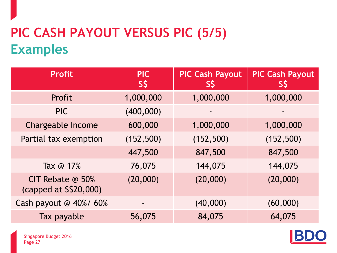# **PIC CASH PAYOUT VERSUS PIC (5/5) Examples**

| <b>Profit</b>                             | <b>PIC</b><br>S\$ | <b>PIC Cash Payout</b><br>SŞ | <b>PIC Cash Payout</b><br>SS |
|-------------------------------------------|-------------------|------------------------------|------------------------------|
| Profit                                    | 1,000,000         | 1,000,000                    | 1,000,000                    |
| <b>PIC</b>                                | (400,000)         |                              |                              |
| <b>Chargeable Income</b>                  | 600,000           | 1,000,000                    | 1,000,000                    |
| Partial tax exemption                     | (152, 500)        | (152, 500)                   | (152, 500)                   |
|                                           | 447,500           | 847,500                      | 847,500                      |
| Tax @ 17%                                 | 76,075            | 144,075                      | 144,075                      |
| CIT Rebate @ 50%<br>(capped at S\$20,000) | (20,000)          | (20,000)                     | (20,000)                     |
| Cash payout @ 40%/ 60%                    | ۰                 | (40,000)                     | (60,000)                     |
| Tax payable                               | 56,075            | 84,075                       | 64,075                       |

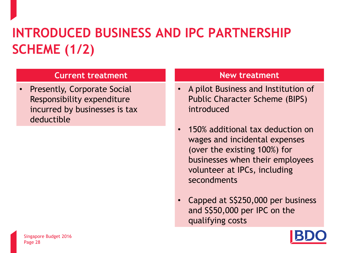# **INTRODUCED BUSINESS AND IPC PARTNERSHIP SCHEME (1/2)**

#### **Current treatment**

• Presently, Corporate Social Responsibility expenditure incurred by businesses is tax deductible

- A pilot Business and Institution of Public Character Scheme (BIPS) introduced
- 150% additional tax deduction on wages and incidental expenses (over the existing 100%) for businesses when their employees volunteer at IPCs, including secondments
- Capped at S\$250,000 per business and S\$50,000 per IPC on the qualifying costs

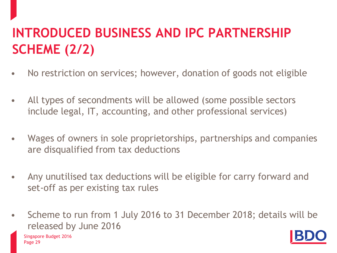# **INTRODUCED BUSINESS AND IPC PARTNERSHIP SCHEME (2/2)**

- No restriction on services; however, donation of goods not eligible
- All types of secondments will be allowed (some possible sectors include legal, IT, accounting, and other professional services)
- Wages of owners in sole proprietorships, partnerships and companies are disqualified from tax deductions
- Any unutilised tax deductions will be eligible for carry forward and set-off as per existing tax rules
- Scheme to run from 1 July 2016 to 31 December 2018; details will be released by June 2016

Page 29 Singapore Budget 2016

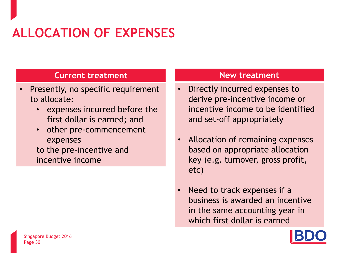# **ALLOCATION OF EXPENSES**

#### **Current treatment**

- Presently, no specific requirement to allocate:
	- expenses incurred before the first dollar is earned; and
	- other pre-commencement expenses

to the pre-incentive and incentive income

- Directly incurred expenses to derive pre-incentive income or incentive income to be identified and set-off appropriately
- Allocation of remaining expenses based on appropriate allocation key (e.g. turnover, gross profit, etc)
- Need to track expenses if a business is awarded an incentive in the same accounting year in which first dollar is earned

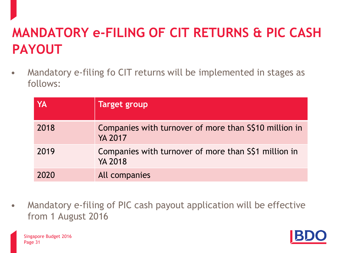## **MANDATORY e-FILING OF CIT RETURNS & PIC CASH PAYOUT**

• Mandatory e-filing fo CIT returns will be implemented in stages as follows:

| YA   | <b>Target group</b>                                                     |
|------|-------------------------------------------------------------------------|
| 2018 | Companies with turnover of more than S\$10 million in<br><b>YA 2017</b> |
| 2019 | Companies with turnover of more than S\$1 million in<br><b>YA 2018</b>  |
| 2020 | All companies                                                           |

• Mandatory e-filing of PIC cash payout application will be effective from 1 August 2016

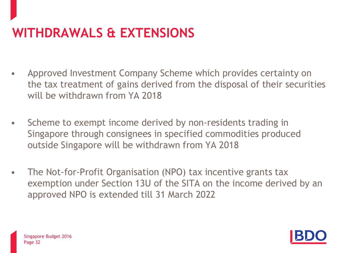# **WITHDRAWALS & EXTENSIONS**

- Approved Investment Company Scheme which provides certainty on the tax treatment of gains derived from the disposal of their securities will be withdrawn from YA 2018
- Scheme to exempt income derived by non-residents trading in Singapore through consignees in specified commodities produced outside Singapore will be withdrawn from YA 2018
- The Not-for-Profit Organisation (NPO) tax incentive grants tax exemption under Section 13U of the SITA on the income derived by an approved NPO is extended till 31 March 2022

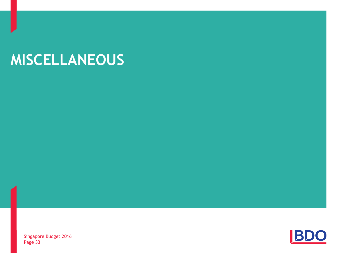# **MISCELLANEOUS**

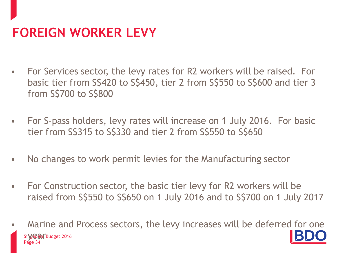# **FOREIGN WORKER LEVY**

- For Services sector, the levy rates for R2 workers will be raised. For basic tier from S\$420 to S\$450, tier 2 from S\$550 to S\$600 and tier 3 from S\$700 to S\$800
- For S-pass holders, levy rates will increase on 1 July 2016. For basic tier from S\$315 to S\$330 and tier 2 from S\$550 to S\$650
- No changes to work permit levies for the Manufacturing sector
- For Construction sector, the basic tier levy for R2 workers will be raised from S\$550 to S\$650 on 1 July 2016 and to S\$700 on 1 July 2017
- Page 3 Sire Cold Budget 2016 • Marine and Process sectors, the levy increases will be deferred for one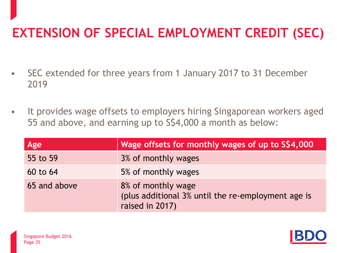### **EXTENSION OF SPECIAL EMPLOYMENT CREDIT (SEC)**

- SEC extended for three years from 1 January 2017 to 31 December 2019
- It provides wage offsets to employers hiring Singaporean workers aged 55 and above, and earning up to S\$4,000 a month as below:

| Age          | Wage offsets for monthly wages of up to S\$4,000                                            |
|--------------|---------------------------------------------------------------------------------------------|
| 55 to 59     | 3% of monthly wages                                                                         |
| 60 to 64     | 5% of monthly wages                                                                         |
| 65 and above | 8% of monthly wage<br>(plus additional 3% until the re-employment age is<br>raised in 2017) |

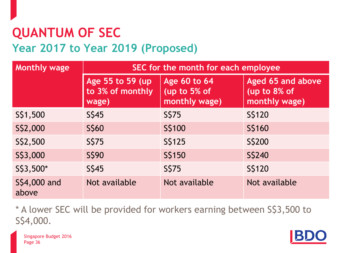### **QUANTUM OF SEC Year 2017 to Year 2019 (Proposed)**

| <b>Monthly wage</b>    | SEC for the month for each employee            |                                                      |                                                    |
|------------------------|------------------------------------------------|------------------------------------------------------|----------------------------------------------------|
|                        | Age 55 to 59 (up)<br>to 3% of monthly<br>wage) | <b>Age 60 to 64</b><br>(up to 5% of<br>monthly wage) | Aged 65 and above<br>(up to 8% of<br>monthly wage) |
| S\$1,500               | S\$45                                          | S\$75                                                | S\$120                                             |
| S\$2,000               | S\$60                                          | S\$100                                               | S\$160                                             |
| S\$2,500               | S\$75                                          | S\$125                                               | S\$200                                             |
| S\$3,000               | S\$90                                          | S\$150                                               | <b>S\$240</b>                                      |
| S\$3,500*              | S\$45                                          | S\$75                                                | S\$120                                             |
| \$\$4,000 and<br>above | Not available                                  | Not available                                        | Not available                                      |

\* A lower SEC will be provided for workers earning between S\$3,500 to S\$4,000.

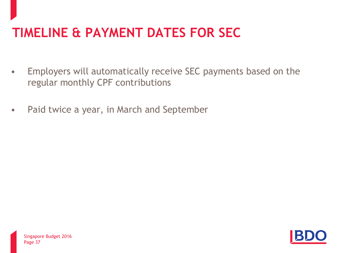### **TIMELINE & PAYMENT DATES FOR SEC**

- Employers will automatically receive SEC payments based on the regular monthly CPF contributions
- Paid twice a year, in March and September

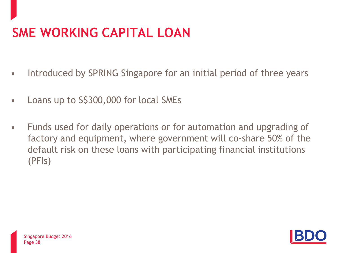# **SME WORKING CAPITAL LOAN**

- Introduced by SPRING Singapore for an initial period of three years
- Loans up to S\$300,000 for local SMEs
- Funds used for daily operations or for automation and upgrading of factory and equipment, where government will co-share 50% of the default risk on these loans with participating financial institutions (PFIs)

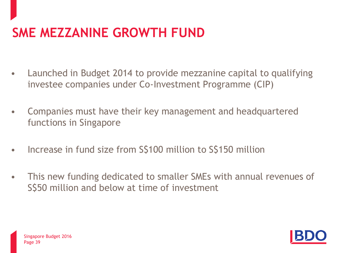### **SME MEZZANINE GROWTH FUND**

- Launched in Budget 2014 to provide mezzanine capital to qualifying investee companies under Co-Investment Programme (CIP)
- Companies must have their key management and headquartered functions in Singapore
- Increase in fund size from S\$100 million to S\$150 million
- This new funding dedicated to smaller SMEs with annual revenues of S\$50 million and below at time of investment



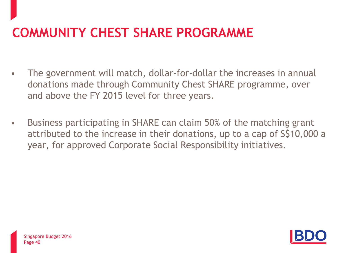### **COMMUNITY CHEST SHARE PROGRAMME**

- The government will match, dollar-for-dollar the increases in annual donations made through Community Chest SHARE programme, over and above the FY 2015 level for three years.
- Business participating in SHARE can claim 50% of the matching grant attributed to the increase in their donations, up to a cap of S\$10,000 a year, for approved Corporate Social Responsibility initiatives.

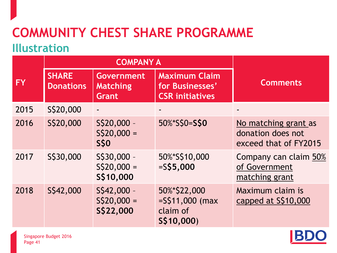### **COMMUNITY CHEST SHARE PROGRAMME Illustration**

|           |                                  | <b>COMPANY A</b>                                     |                                                                   |                                                                    |
|-----------|----------------------------------|------------------------------------------------------|-------------------------------------------------------------------|--------------------------------------------------------------------|
| <b>FY</b> | <b>SHARE</b><br><b>Donations</b> | <b>Government</b><br><b>Matching</b><br><b>Grant</b> | <b>Maximum Claim</b><br>for Businesses'<br><b>CSR initiatives</b> | <b>Comments</b>                                                    |
| 2015      | S\$20,000                        |                                                      |                                                                   |                                                                    |
| 2016      | S\$20,000                        | S\$20,000 -<br>$S$20,000 =$<br><b>S\$0</b>           | 50%*S\$0=S\$0                                                     | No matching grant as<br>donation does not<br>exceed that of FY2015 |
| 2017      | S\$30,000                        | S\$30,000 -<br>$S\$ 20,000 =<br>S\$10,000            | 50%*S\$10,000<br>$=$ S\$5,000                                     | Company can claim 50%<br>of Government<br>matching grant           |
| 2018      | S\$42,000                        | $S$ \$42,000 -<br>$S\$ 20,000 =<br>S\$22,000         | 50%*\$22,000<br>$=$ S\$11,000 (max<br>claim of<br>S\$10,000)      | Maximum claim is<br>capped at S\$10,000                            |

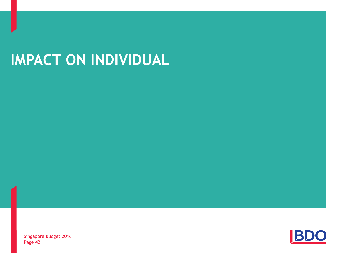# **IMPACT ON INDIVIDUAL**

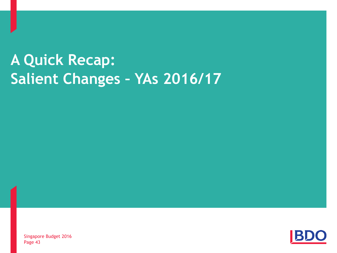# **A Quick Recap: Salient Changes – YAs 2016/17**

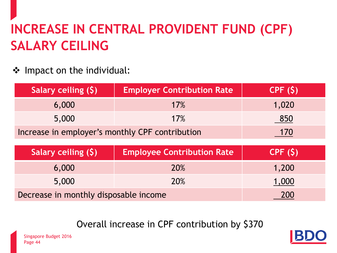# **INCREASE IN CENTRAL PROVIDENT FUND (CPF) SALARY CEILING**

❖ Impact on the individual:

| Salary ceiling (\$)                             | <b>Employer Contribution Rate</b> | CPF(S) |
|-------------------------------------------------|-----------------------------------|--------|
| 6,000                                           | 17%                               | 1,020  |
| 5,000                                           | 17%                               | 850    |
| Increase in employer's monthly CPF contribution |                                   | 170    |
|                                                 |                                   |        |
|                                                 |                                   |        |
| Salary ceiling (\$)                             | <b>Employee Contribution Rate</b> | CPF(S) |
| 6,000                                           | 20%                               | 1,200  |
| 5,000                                           | 20%                               | 1,000  |

Overall increase in CPF contribution by \$370

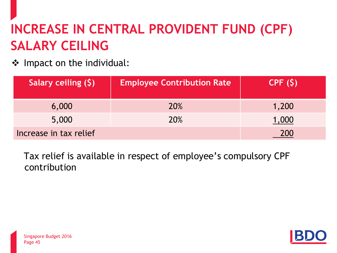# **INCREASE IN CENTRAL PROVIDENT FUND (CPF) SALARY CEILING**

❖ Impact on the individual:

| Salary ceiling (\$)    | <b>Employee Contribution Rate</b> | CPF(S) |
|------------------------|-----------------------------------|--------|
| 6,000                  | <b>20%</b>                        | 1,200  |
| 5,000                  | <b>20%</b>                        | 1,000  |
| Increase in tax relief |                                   | 200    |

Tax relief is available in respect of employee's compulsory CPF contribution



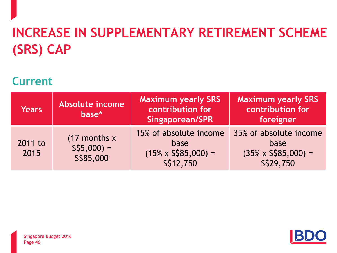# **INCREASE IN SUPPLEMENTARY RETIREMENT SCHEME (SRS) CAP**

### **Current**

| <b>Years</b>    | Absolute income<br>base*                      | <b>Maximum yearly SRS</b><br>contribution for<br><b>Singaporean/SPR</b>    | <b>Maximum yearly SRS</b><br>contribution for<br>foreigner                |
|-----------------|-----------------------------------------------|----------------------------------------------------------------------------|---------------------------------------------------------------------------|
| 2011 to<br>2015 | $(17$ months x<br>$S\$ {5,000} =<br>S\$85,000 | 15% of absolute income<br>base<br>$(15\% \times$ S\$85,000) =<br>S\$12,750 | 35% of absolute income<br>base<br>$(35\% \times S\$ 5,000) =<br>S\$29,750 |



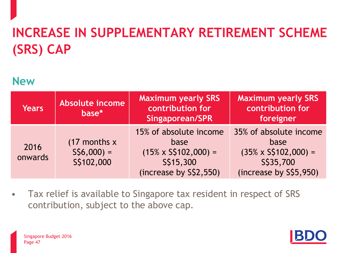# **INCREASE IN SUPPLEMENTARY RETIREMENT SCHEME (SRS) CAP**

### **New**

| <b>Years</b>    | Absolute income<br>base*                        | <b>Maximum yearly SRS</b><br>contribution for<br>Singaporean/SPR                                      | <b>Maximum yearly SRS</b><br>contribution for<br>foreigner                                           |
|-----------------|-------------------------------------------------|-------------------------------------------------------------------------------------------------------|------------------------------------------------------------------------------------------------------|
| 2016<br>onwards | $(17$ months x<br>$S\$ {56,000} =<br>S\$102,000 | 15% of absolute income<br>base<br>$(15\% \times S\$ 102,000) =<br>S\$15,300<br>(increase by S\$2,550) | 35% of absolute income<br>base<br>$(35\% \times S$102,000) =$<br>S\$35,700<br>(increase by S\$5,950) |

• Tax relief is available to Singapore tax resident in respect of SRS contribution, subject to the above cap.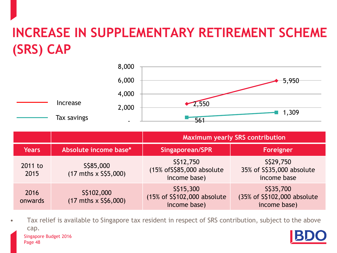### **INCREASE IN SUPPLEMENTARY RETIREMENT SCHEME (SRS) CAP**



|                 |                                                   | <b>Maximum yearly SRS contribution</b>                   |                                                          |  |
|-----------------|---------------------------------------------------|----------------------------------------------------------|----------------------------------------------------------|--|
| <b>Years</b>    | Absolute income base*                             | <b>Singaporean/SPR</b>                                   | Foreigner                                                |  |
| 2011 to<br>2015 | S\$85,000<br>$(17 \text{ mths} \times$ S\$5,000)  | S\$12,750<br>(15% of \$\$85,000 absolute<br>income base) | S\$29,750<br>35% of S\$35,000 absolute<br>income base    |  |
| 2016<br>onwards | S\$102,000<br>$(17 \text{ mths} \times$ S\$6,000) | S\$15,300<br>(15% of S\$102,000 absolute<br>income base) | S\$35,700<br>(35% of S\$102,000 absolute<br>income base) |  |

Page 48 Singapore Budget 2016 Tax relief is available to Singapore tax resident in respect of SRS contribution, subject to the above cap.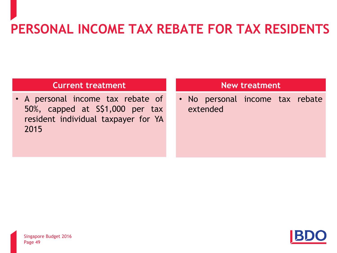# **PERSONAL INCOME TAX REBATE FOR TAX RESIDENTS**

#### **Current treatment**

• A personal income tax rebate of 50%, capped at S\$1,000 per tax resident individual taxpayer for YA 2015

#### **New treatment**

• No personal income tax rebate extended

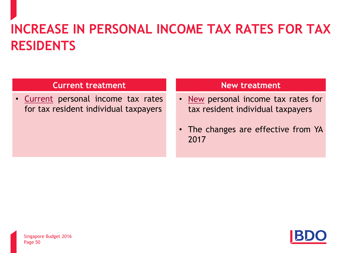# **INCREASE IN PERSONAL INCOME TAX RATES FOR TAX RESIDENTS**

#### **Current treatment**

• [Current](#page-19-0) personal income tax rates for tax resident individual taxpayers

- [New](#page-1-0) personal income tax rates for tax resident individual taxpayers
- The changes are effective from YA 2017

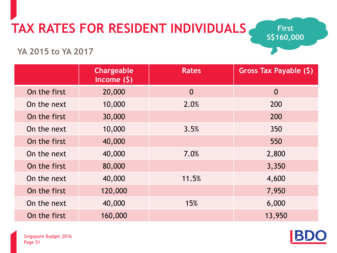# **TAX RATES FOR RESIDENT INDIVIDUALS**

**First S\$160,000** 

**YA 2015 to YA 2017** 

|              | <b>Chargeable</b><br>Income $(5)$ | <b>Rates</b>   | Gross Tax Payable (\$) |
|--------------|-----------------------------------|----------------|------------------------|
| On the first | 20,000                            | $\overline{0}$ | $\overline{0}$         |
| On the next  | 10,000                            | 2.0%           | 200                    |
| On the first | 30,000                            |                | 200                    |
| On the next  | 10,000                            | 3.5%           | 350                    |
| On the first | 40,000                            |                | 550                    |
| On the next  | 40,000                            | 7.0%           | 2,800                  |
| On the first | 80,000                            |                | 3,350                  |
| On the next  | 40,000                            | 11.5%          | 4,600                  |
| On the first | 120,000                           |                | 7,950                  |
| On the next  | 40,000                            | 15%            | 6,000                  |
| On the first | 160,000                           |                | 13,950                 |



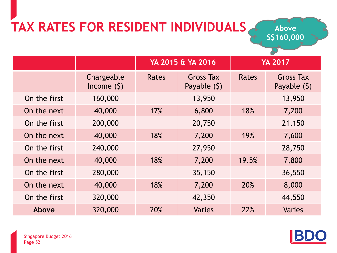# **TAX RATES FOR RESIDENT INDIVIDUALS**

**Above S\$160,000** 

|              |                            | YA 2015 & YA 2016 |                                   |              |                                  |  | <b>YA 2017</b> |
|--------------|----------------------------|-------------------|-----------------------------------|--------------|----------------------------------|--|----------------|
|              | Chargeable<br>Income $(5)$ | Rates             | <b>Gross Tax</b><br>Payable $(5)$ | <b>Rates</b> | <b>Gross Tax</b><br>Payable (\$) |  |                |
| On the first | 160,000                    |                   | 13,950                            |              | 13,950                           |  |                |
| On the next  | 40,000                     | 17%               | 6,800                             | 18%          | 7,200                            |  |                |
| On the first | 200,000                    |                   | 20,750                            |              | 21,150                           |  |                |
| On the next  | 40,000                     | 18%               | 7,200                             | 19%          | 7,600                            |  |                |
| On the first | 240,000                    |                   | 27,950                            |              | 28,750                           |  |                |
| On the next  | 40,000                     | 18%               | 7,200                             | 19.5%        | 7,800                            |  |                |
| On the first | 280,000                    |                   | 35,150                            |              | 36,550                           |  |                |
| On the next  | 40,000                     | 18%               | 7,200                             | 20%          | 8,000                            |  |                |
| On the first | 320,000                    |                   | 42,350                            |              | 44,550                           |  |                |
| Above        | 320,000                    | <b>20%</b>        | <b>Varies</b>                     | 22%          | <b>Varies</b>                    |  |                |

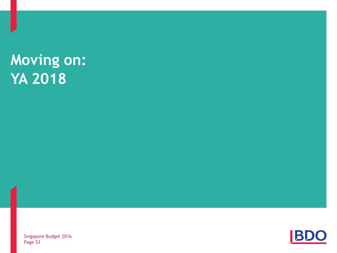# **Moving on: YA 2018**

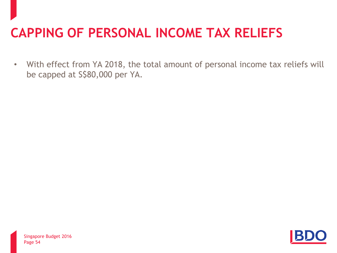### **CAPPING OF PERSONAL INCOME TAX RELIEFS**

• With effect from YA 2018, the total amount of personal income tax reliefs will be capped at S\$80,000 per YA.

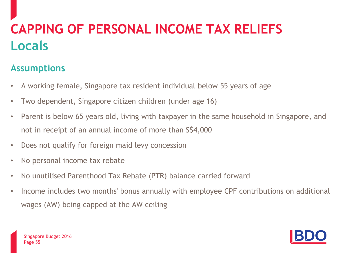# **CAPPING OF PERSONAL INCOME TAX RELIEFS Locals**

#### **Assumptions**

- A working female, Singapore tax resident individual below 55 years of age
- Two dependent, Singapore citizen children (under age 16)
- Parent is below 65 years old, living with taxpayer in the same household in Singapore, and not in receipt of an annual income of more than S\$4,000
- Does not qualify for foreign maid levy concession
- No personal income tax rebate
- No unutilised Parenthood Tax Rebate (PTR) balance carried forward
- Income includes two months' bonus annually with employee CPF contributions on additional wages (AW) being capped at the AW ceiling

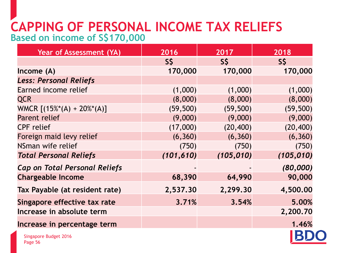### **CAPPING OF PERSONAL INCOME TAX RELIEFS Based on income of S\$170,000**

| Year of Assessment (YA)              | 2016       | 2017       | 2018       |
|--------------------------------------|------------|------------|------------|
|                                      | S\$        | S\$        | S\$        |
| Income(A)                            | 170,000    | 170,000    | 170,000    |
| <b>Less: Personal Reliefs</b>        |            |            |            |
| Earned income relief                 | (1,000)    | (1,000)    | (1,000)    |
| <b>QCR</b>                           | (8,000)    | (8,000)    | (8,000)    |
| WMCR $[(15\%*(A) + 20\%*(A)]$        | (59, 500)  | (59, 500)  | (59, 500)  |
| <b>Parent relief</b>                 | (9,000)    | (9,000)    | (9,000)    |
| <b>CPF</b> relief                    | (17,000)   | (20, 400)  | (20, 400)  |
| Foreign maid levy relief             | (6, 360)   | (6, 360)   | (6, 360)   |
| NSman wife relief                    | (750)      | (750)      | (750)      |
| <b>Total Personal Reliefs</b>        | (101, 610) | (105, 010) | (105, 010) |
| <b>Cap on Total Personal Reliefs</b> |            |            | (80,000)   |
| <b>Chargeable Income</b>             | 68,390     | 64,990     | 90,000     |
| Tax Payable (at resident rate)       | 2,537.30   | 2,299.30   | 4,500.00   |
| Singapore effective tax rate         | 3.71%      | 3.54%      | 5.00%      |
| Increase in absolute term            |            |            | 2,200.70   |
| Increase in percentage term          |            |            | 1.46%      |
| Singapore Budget 2016                |            |            |            |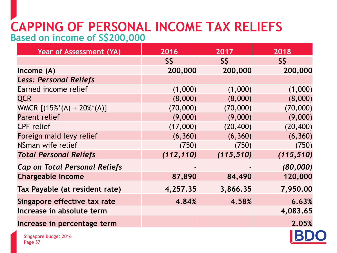### **CAPPING OF PERSONAL INCOME TAX RELIEFS Based on income of S\$200,000**

| Year of Assessment (YA)              | 2016       | 2017       | 2018       |
|--------------------------------------|------------|------------|------------|
|                                      | S\$        | S\$        | S\$        |
| Income $(A)$                         | 200,000    | 200,000    | 200,000    |
| <b>Less: Personal Reliefs</b>        |            |            |            |
| Earned income relief                 | (1,000)    | (1,000)    | (1,000)    |
| <b>QCR</b>                           | (8,000)    | (8,000)    | (8,000)    |
| WMCR $[(15\%*(A) + 20\%*(A)]$        | (70,000)   | (70,000)   | (70,000)   |
| Parent relief                        | (9,000)    | (9,000)    | (9,000)    |
| <b>CPF</b> relief                    | (17,000)   | (20, 400)  | (20, 400)  |
| Foreign maid levy relief             | (6, 360)   | (6, 360)   | (6, 360)   |
| NSman wife relief                    | (750)      | (750)      | (750)      |
| <b>Total Personal Reliefs</b>        | (112, 110) | (115, 510) | (115, 510) |
| <b>Cap on Total Personal Reliefs</b> |            |            | (80,000)   |
| <b>Chargeable Income</b>             | 87,890     | 84,490     | 120,000    |
| Tax Payable (at resident rate)       | 4,257.35   | 3,866.35   | 7,950.00   |
| Singapore effective tax rate         | 4.84%      | 4.58%      | 6.63%      |
| Increase in absolute term            |            |            | 4,083.65   |
| Increase in percentage term          |            |            | 2.05%      |

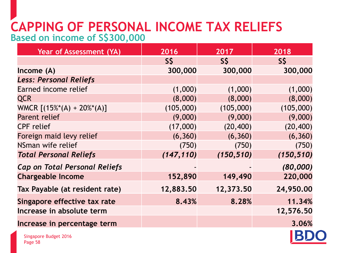### **CAPPING OF PERSONAL INCOME TAX RELIEFS Based on income of S\$300,000**

| <b>Year of Assessment (YA)</b>       | 2016       | 2017       | 2018       |
|--------------------------------------|------------|------------|------------|
|                                      | S\$        | S\$        | S\$        |
| Income $(A)$                         | 300,000    | 300,000    | 300,000    |
| <b>Less: Personal Reliefs</b>        |            |            |            |
| Earned income relief                 | (1,000)    | (1,000)    | (1,000)    |
| <b>QCR</b>                           | (8,000)    | (8,000)    | (8,000)    |
| WMCR $[(15\%*(A) + 20\%*(A)]$        | (105,000)  | (105,000)  | (105,000)  |
| Parent relief                        | (9,000)    | (9,000)    | (9,000)    |
| <b>CPF</b> relief                    | (17,000)   | (20, 400)  | (20, 400)  |
| Foreign maid levy relief             | (6, 360)   | (6, 360)   | (6, 360)   |
| NSman wife relief                    | (750)      | (750)      | (750)      |
| <b>Total Personal Reliefs</b>        | (147, 110) | (150, 510) | (150, 510) |
| <b>Cap on Total Personal Reliefs</b> |            |            | (80,000)   |
| <b>Chargeable Income</b>             | 152,890    | 149,490    | 220,000    |
| Tax Payable (at resident rate)       | 12,883.50  | 12,373.50  | 24,950.00  |
| Singapore effective tax rate         | 8.43%      | 8.28%      | 11.34%     |
| Increase in absolute term            |            |            | 12,576.50  |
| Increase in percentage term          |            |            | 3.06%      |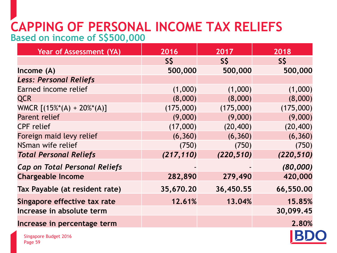### **CAPPING OF PERSONAL INCOME TAX RELIEFS Based on income of S\$500,000**

| <b>Year of Assessment (YA)</b>       | 2016       | 2017       | 2018       |
|--------------------------------------|------------|------------|------------|
|                                      | S\$        | S\$        | S\$        |
| Income (A)                           | 500,000    | 500,000    | 500,000    |
| <b>Less: Personal Reliefs</b>        |            |            |            |
| Earned income relief                 | (1,000)    | (1,000)    | (1,000)    |
| <b>QCR</b>                           | (8,000)    | (8,000)    | (8,000)    |
| WMCR $[(15\%*(A) + 20\%*(A)]$        | (175,000)  | (175,000)  | (175,000)  |
| Parent relief                        | (9,000)    | (9,000)    | (9,000)    |
| <b>CPF</b> relief                    | (17,000)   | (20, 400)  | (20, 400)  |
| Foreign maid levy relief             | (6, 360)   | (6, 360)   | (6, 360)   |
| NSman wife relief                    | (750)      | (750)      | (750)      |
| <b>Total Personal Reliefs</b>        | (217, 110) | (220, 510) | (220, 510) |
| <b>Cap on Total Personal Reliefs</b> |            |            | (80,000)   |
| <b>Chargeable Income</b>             | 282,890    | 279,490    | 420,000    |
| Tax Payable (at resident rate)       | 35,670.20  | 36,450.55  | 66,550.00  |
| Singapore effective tax rate         | 12.61%     | 13.04%     | 15.85%     |
| Increase in absolute term            |            |            | 30,099.45  |
| Increase in percentage term          |            |            | 2.80%      |

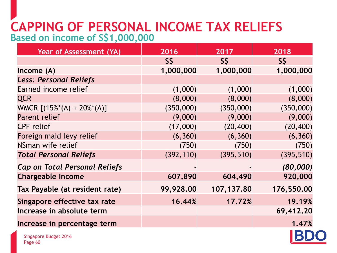### **CAPPING OF PERSONAL INCOME TAX RELIEFS Based on income of S\$1,000,000**

| <b>Year of Assessment (YA)</b>       | 2016       | 2017       | 2018       |
|--------------------------------------|------------|------------|------------|
|                                      | S\$        | $S\bar{S}$ | S\$        |
| Income(A)                            | 1,000,000  | 1,000,000  | 1,000,000  |
| <b>Less: Personal Reliefs</b>        |            |            |            |
| Earned income relief                 | (1,000)    | (1,000)    | (1,000)    |
| <b>QCR</b>                           | (8,000)    | (8,000)    | (8,000)    |
| WMCR $[(15\%*(A) + 20\%*(A)]$        | (350,000)  | (350,000)  | (350,000)  |
| Parent relief                        | (9,000)    | (9,000)    | (9,000)    |
| <b>CPF</b> relief                    | (17,000)   | (20, 400)  | (20, 400)  |
| Foreign maid levy relief             | (6, 360)   | (6, 360)   | (6, 360)   |
| NSman wife relief                    | (750)      | (750)      | (750)      |
| <b>Total Personal Reliefs</b>        | (392, 110) | (395, 510) | (395, 510) |
| <b>Cap on Total Personal Reliefs</b> |            |            | (80,000)   |
| <b>Chargeable Income</b>             | 607,890    | 604,490    | 920,000    |
| Tax Payable (at resident rate)       | 99,928.00  | 107,137.80 | 176,550.00 |
| Singapore effective tax rate         | 16.44%     | 17.72%     | 19.19%     |
| Increase in absolute term            |            |            | 69,412.20  |
| Increase in percentage term          |            |            | 1.47%      |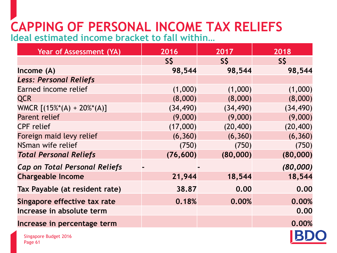# **CAPPING OF PERSONAL INCOME TAX RELIEFS**

**Ideal estimated income bracket to fall within…**

| <b>Year of Assessment (YA)</b>       | 2016      | 2017      | 2018      |
|--------------------------------------|-----------|-----------|-----------|
|                                      | $S\zeta$  | S\$       | $S\zeta$  |
| Income $(A)$                         | 98,544    | 98,544    | 98,544    |
| <b>Less: Personal Reliefs</b>        |           |           |           |
| Earned income relief                 | (1,000)   | (1,000)   | (1,000)   |
| <b>QCR</b>                           | (8,000)   | (8,000)   | (8,000)   |
| WMCR $[(15\%*(A) + 20\%*(A)]$        | (34, 490) | (34, 490) | (34, 490) |
| Parent relief                        | (9,000)   | (9,000)   | (9,000)   |
| <b>CPF</b> relief                    | (17,000)  | (20, 400) | (20, 400) |
| Foreign maid levy relief             | (6, 360)  | (6, 360)  | (6, 360)  |
| NSman wife relief                    | (750)     | (750)     | (750)     |
| <b>Total Personal Reliefs</b>        | (76, 600) | (80,000)  | (80,000)  |
| <b>Cap on Total Personal Reliefs</b> |           |           | (80,000)  |
| <b>Chargeable Income</b>             | 21,944    | 18,544    | 18,544    |
| Tax Payable (at resident rate)       | 38.87     | 0.00      | 0.00      |
| Singapore effective tax rate         | 0.18%     | 0.00%     | 0.00%     |
| Increase in absolute term            |           |           | 0.00      |
| Increase in percentage term          |           |           | 0.00%     |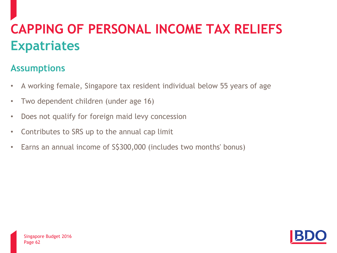# **CAPPING OF PERSONAL INCOME TAX RELIEFS Expatriates**

#### **Assumptions**

- A working female, Singapore tax resident individual below 55 years of age
- Two dependent children (under age 16)
- Does not qualify for foreign maid levy concession
- Contributes to SRS up to the annual cap limit
- Earns an annual income of S\$300,000 (includes two months' bonus)

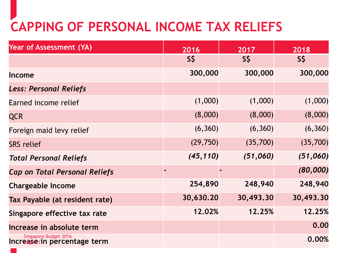# **CAPPING OF PERSONAL INCOME TAX RELIEFS**

| <b>Year of Assessment (YA)</b>                       | 2016      | 2017      | 2018      |
|------------------------------------------------------|-----------|-----------|-----------|
|                                                      | S\$       | S\$       | S\$       |
| Income                                               | 300,000   | 300,000   | 300,000   |
| <b>Less: Personal Reliefs</b>                        |           |           |           |
| Earned income relief                                 | (1,000)   | (1,000)   | (1,000)   |
| <b>QCR</b>                                           | (8,000)   | (8,000)   | (8,000)   |
| Foreign maid levy relief                             | (6, 360)  | (6, 360)  | (6, 360)  |
| <b>SRS</b> relief                                    | (29, 750) | (35,700)  | (35,700)  |
| <b>Total Personal Reliefs</b>                        | (45, 110) | (51,060)  | (51,060)  |
| <b>Cap on Total Personal Reliefs</b>                 |           |           | (80,000)  |
| <b>Chargeable Income</b>                             | 254,890   | 248,940   | 248,940   |
| Tax Payable (at resident rate)                       | 30,630.20 | 30,493.30 | 30,493.30 |
| Singapore effective tax rate                         | 12.02%    | 12.25%    | 12.25%    |
| Increase in absolute term                            |           |           | 0.00      |
| Singapore Budget 2016<br>Increase3in percentage term |           |           | 0.00%     |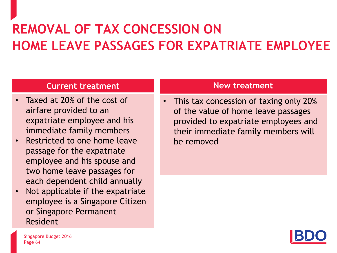# **REMOVAL OF TAX CONCESSION ON HOME LEAVE PASSAGES FOR EXPATRIATE EMPLOYEE**

#### **Current treatment**

- Taxed at 20% of the cost of airfare provided to an expatriate employee and his immediate family members
- Restricted to one home leave passage for the expatriate employee and his spouse and two home leave passages for each dependent child annually
- Not applicable if the expatriate employee is a Singapore Citizen or Singapore Permanent Resident

#### **New treatment**

• This tax concession of taxing only 20% of the value of home leave passages provided to expatriate employees and their immediate family members will be removed

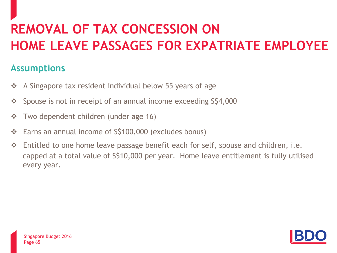# **REMOVAL OF TAX CONCESSION ON HOME LEAVE PASSAGES FOR EXPATRIATE EMPLOYEE**

#### **Assumptions**

- $\div$  A Singapore tax resident individual below 55 years of age
- Spouse is not in receipt of an annual income exceeding S\$4,000
- $\div$  Two dependent children (under age 16)
- Earns an annual income of S\$100,000 (excludes bonus)
- Entitled to one home leave passage benefit each for self, spouse and children, i.e. capped at a total value of S\$10,000 per year. Home leave entitlement is fully utilised every year.

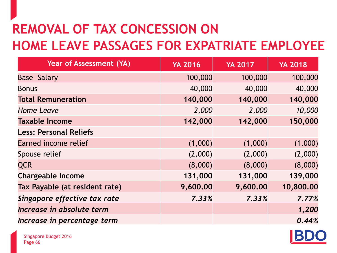# **REMOVAL OF TAX CONCESSION ON HOME LEAVE PASSAGES FOR EXPATRIATE EMPLOYEE**

| <b>Year of Assessment (YA)</b> | <b>YA 2016</b> | <b>YA 2017</b> | <b>YA 2018</b> |
|--------------------------------|----------------|----------------|----------------|
| <b>Base Salary</b>             | 100,000        | 100,000        | 100,000        |
| <b>Bonus</b>                   | 40,000         | 40,000         | 40,000         |
| <b>Total Remuneration</b>      | 140,000        | 140,000        | 140,000        |
| <b>Home Leave</b>              | 2,000          | 2,000          | 10,000         |
| <b>Taxable Income</b>          | 142,000        | 142,000        | 150,000        |
| <b>Less: Personal Reliefs</b>  |                |                |                |
| Earned income relief           | (1,000)        | (1,000)        | (1,000)        |
| Spouse relief                  | (2,000)        | (2,000)        | (2,000)        |
| <b>QCR</b>                     | (8,000)        | (8,000)        | (8,000)        |
| <b>Chargeable Income</b>       | 131,000        | 131,000        | 139,000        |
| Tax Payable (at resident rate) | 9,600.00       | 9,600.00       | 10,800.00      |
| Singapore effective tax rate   | 7.33%          | 7.33%          | 7.77%          |
| Increase in absolute term      |                |                | 1,200          |
| Increase in percentage term    |                |                | 0.44%          |